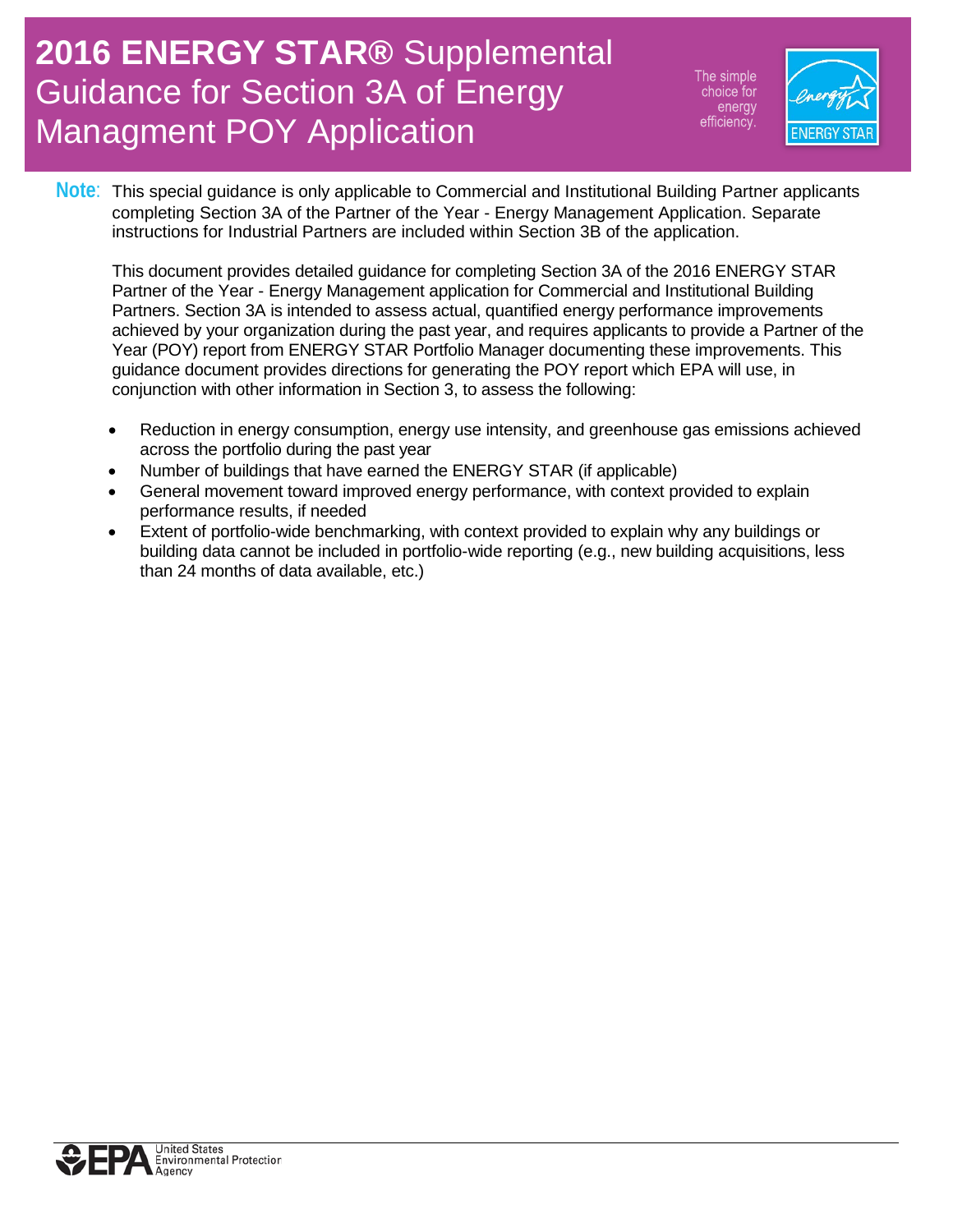The simple choice for energy efficiency



**Note**: This special guidance is only applicable to Commercial and Institutional Building Partner applicants completing Section 3A of the Partner of the Year - Energy Management Application. Separate instructions for Industrial Partners are included within Section 3B of the application.

This document provides detailed guidance for completing Section 3A of the 2016 ENERGY STAR Partner of the Year - Energy Management application for Commercial and Institutional Building Partners. Section 3A is intended to assess actual, quantified energy performance improvements achieved by your organization during the past year, and requires applicants to provide a Partner of the Year (POY) report from ENERGY STAR Portfolio Manager documenting these improvements. This guidance document provides directions for generating the POY report which EPA will use, in conjunction with other information in Section 3, to assess the following:

- Reduction in energy consumption, energy use intensity, and greenhouse gas emissions achieved across the portfolio during the past year
- Number of buildings that have earned the ENERGY STAR (if applicable)
- General movement toward improved energy performance, with context provided to explain performance results, if needed
- Extent of portfolio-wide benchmarking, with context provided to explain why any buildings or building data cannot be included in portfolio-wide reporting (e.g., new building acquisitions, less than 24 months of data available, etc.)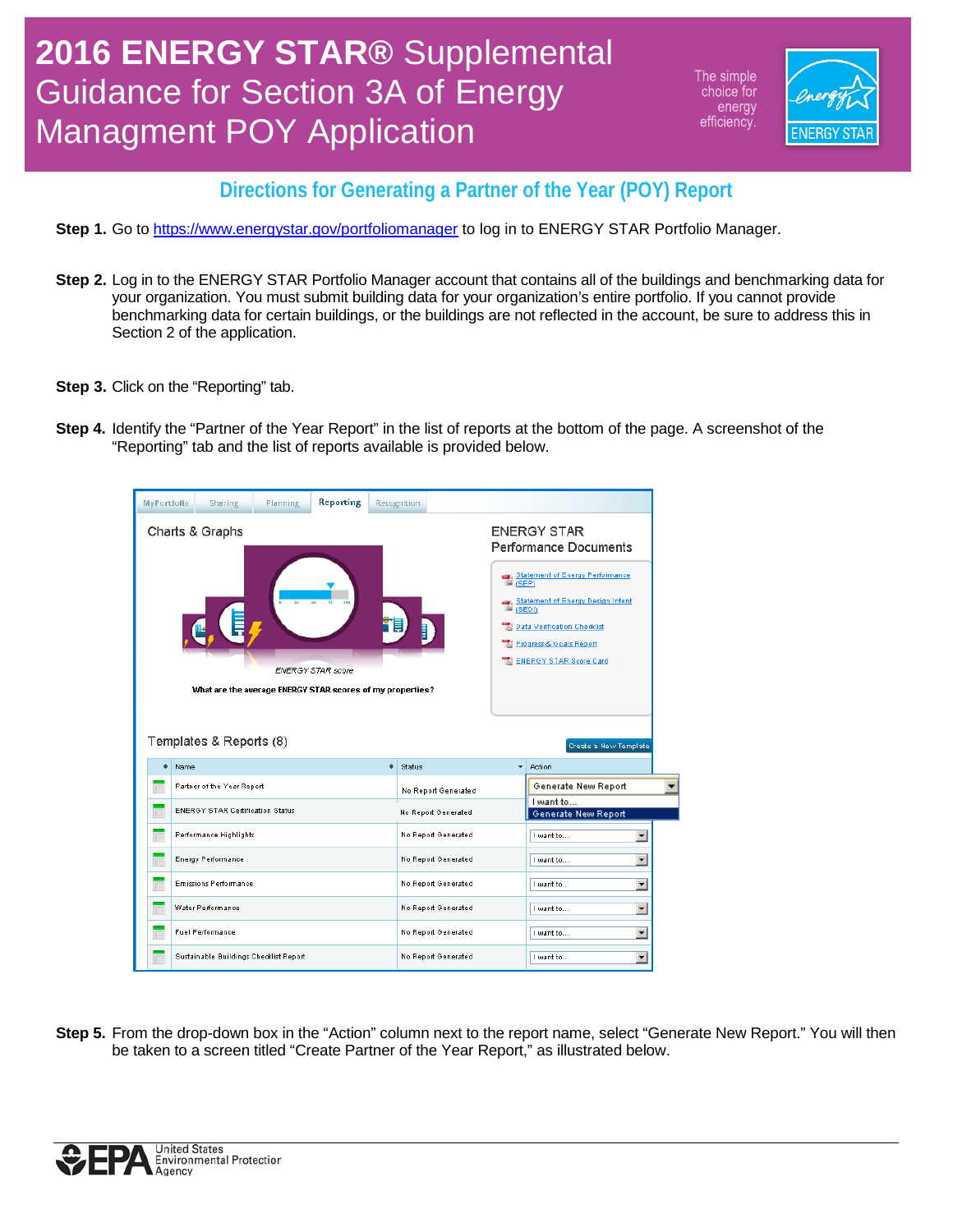The simple choice for energy efficiency



#### **Directions for Generating a Partner of the Year (POY) Report**

- Step 1. Go t[o https://www.energystar.gov/portfoliomanager](https://www.energystar.gov/portfoliomanager) to log in to ENERGY STAR Portfolio Manager.
- **Step 2.** Log in to the ENERGY STAR Portfolio Manager account that contains all of the buildings and benchmarking data for your organization. You must submit building data for your organization's entire portfolio. If you cannot provide benchmarking data for certain buildings, or the buildings are not reflected in the account, be sure to address this in Section 2 of the application.
- **Step 3.** Click on the "Reporting" tab.
- **Step 4.** Identify the "Partner of the Year Report" in the list of reports at the bottom of the page. A screenshot of the "Reporting" tab and the list of reports available is provided below.



**Step 5.** From the drop-down box in the "Action" column next to the report name, select "Generate New Report." You will then be taken to a screen titled "Create Partner of the Year Report," as illustrated below.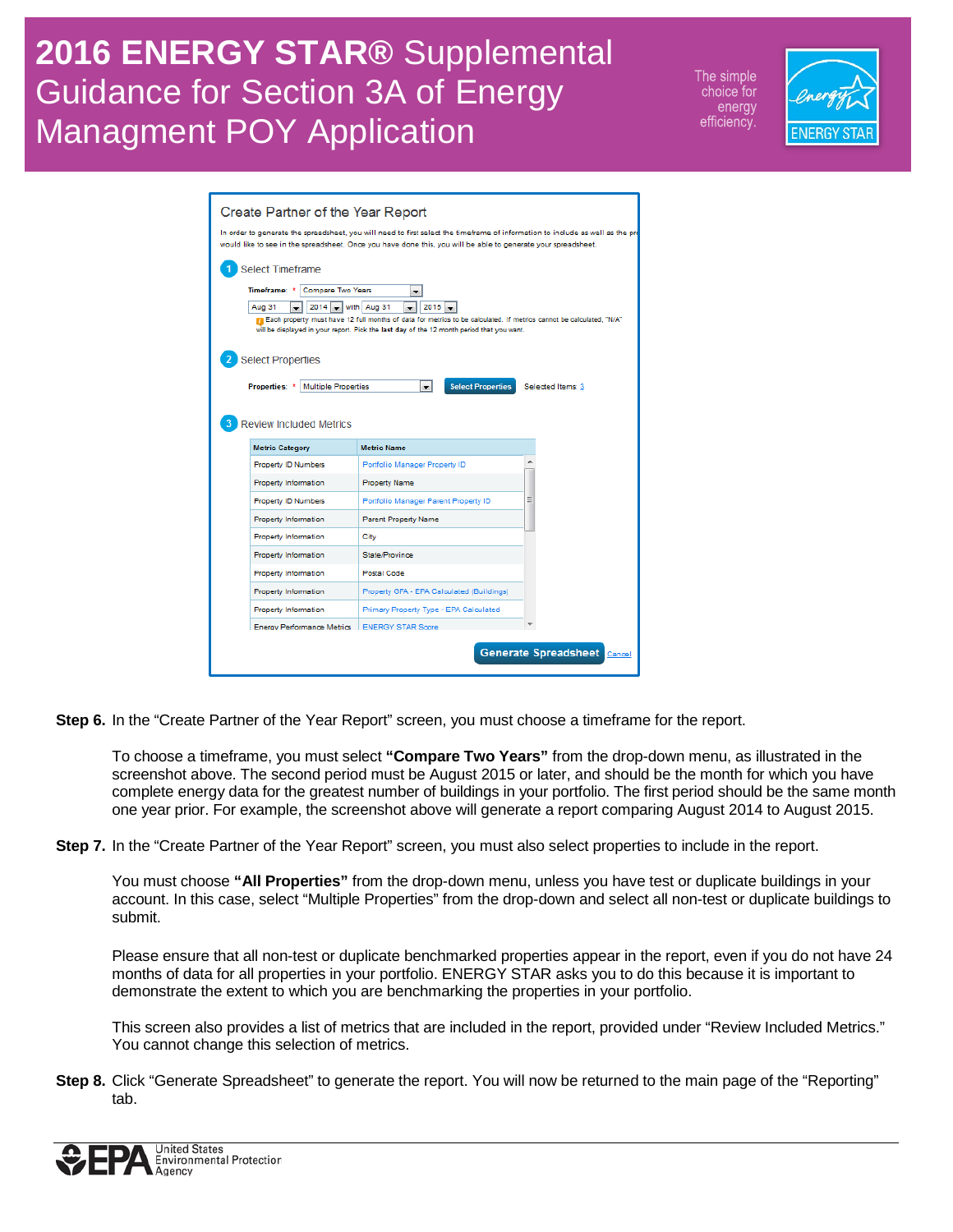The simple choice for energy efficiency.



| Create Partner of the Year Report<br>In order to generate the spreadsheet, you will need to first select the timeframe of information to include as well as the pro<br>would like to see in the spreadsheet. Once you have done this, you will be able to generate your spreadsheet.                                                                                                |                                           |   |  |  |  |  |  |
|-------------------------------------------------------------------------------------------------------------------------------------------------------------------------------------------------------------------------------------------------------------------------------------------------------------------------------------------------------------------------------------|-------------------------------------------|---|--|--|--|--|--|
| Select Timeframe<br>Timeframe: *<br>Compare Two Years<br>$\overline{\phantom{0}}$<br>2014<br>$\bullet$ with Aug 31<br>2015<br>Aug 31<br>The Each property must have 12 full months of data for metrics to be calculated. If metrics cannot be calculated, "N/A"<br>will be displayed in your report. Pick the last day of the 12 month period that you want.<br>2 Select Properties |                                           |   |  |  |  |  |  |
| Multiple Properties<br><b>Select Properties</b><br><b>Properties: *</b><br>$\mathbf{r}$<br>Selected Items: 3<br><b>Review Included Metrics</b>                                                                                                                                                                                                                                      |                                           |   |  |  |  |  |  |
| <b>Metric Category</b>                                                                                                                                                                                                                                                                                                                                                              | <b>Metric Name</b>                        |   |  |  |  |  |  |
| <b>Property ID Numbers</b>                                                                                                                                                                                                                                                                                                                                                          | Portfolio Manager Property ID             |   |  |  |  |  |  |
| <b>Property Information</b>                                                                                                                                                                                                                                                                                                                                                         | <b>Property Name</b>                      |   |  |  |  |  |  |
| <b>Property ID Numbers</b>                                                                                                                                                                                                                                                                                                                                                          | Portfolio Manager Parent Property ID      | Ξ |  |  |  |  |  |
| <b>Property Information</b>                                                                                                                                                                                                                                                                                                                                                         | <b>Parent Property Name</b>               |   |  |  |  |  |  |
| Property Information                                                                                                                                                                                                                                                                                                                                                                | City                                      |   |  |  |  |  |  |
| <b>Property Information</b>                                                                                                                                                                                                                                                                                                                                                         | State/Province                            |   |  |  |  |  |  |
| Property Information                                                                                                                                                                                                                                                                                                                                                                | <b>Postal Code</b>                        |   |  |  |  |  |  |
| <b>Property Information</b>                                                                                                                                                                                                                                                                                                                                                         | Property GFA - EPA Calculated (Buildings) |   |  |  |  |  |  |
| <b>Property Information</b>                                                                                                                                                                                                                                                                                                                                                         | Primary Property Type - EPA Calculated    |   |  |  |  |  |  |
| Energy Performance Metrics   ENERGY STAR Score                                                                                                                                                                                                                                                                                                                                      |                                           |   |  |  |  |  |  |
| <b>Generate Spreadsheet</b><br>Cancel                                                                                                                                                                                                                                                                                                                                               |                                           |   |  |  |  |  |  |

**Step 6.** In the "Create Partner of the Year Report" screen, you must choose a timeframe for the report.

To choose a timeframe, you must select **"Compare Two Years"** from the drop-down menu, as illustrated in the screenshot above. The second period must be August 2015 or later, and should be the month for which you have complete energy data for the greatest number of buildings in your portfolio. The first period should be the same month one year prior. For example, the screenshot above will generate a report comparing August 2014 to August 2015.

**Step 7.** In the "Create Partner of the Year Report" screen, you must also select properties to include in the report.

You must choose **"All Properties"** from the drop-down menu, unless you have test or duplicate buildings in your account. In this case, select "Multiple Properties" from the drop-down and select all non-test or duplicate buildings to submit.

Please ensure that all non-test or duplicate benchmarked properties appear in the report, even if you do not have 24 months of data for all properties in your portfolio. ENERGY STAR asks you to do this because it is important to demonstrate the extent to which you are benchmarking the properties in your portfolio.

This screen also provides a list of metrics that are included in the report, provided under "Review Included Metrics." You cannot change this selection of metrics.

**Step 8.** Click "Generate Spreadsheet" to generate the report. You will now be returned to the main page of the "Reporting" tab.